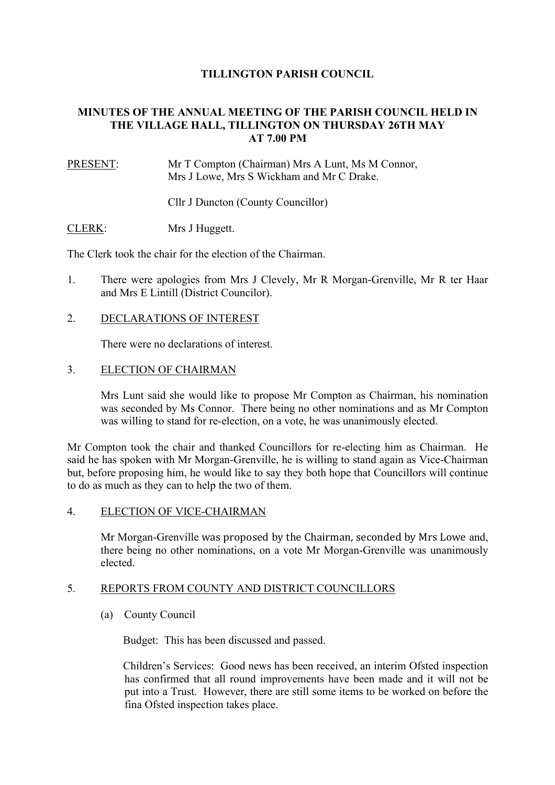# **TILLINGTON PARISH COUNCIL**

# **MINUTES OF THE ANNUAL MEETING OF THE PARISH COUNCIL HELD IN THE VILLAGE HALL, TILLINGTON ON THURSDAY 26TH MAY AT 7.00 PM**

PRESENT: Mr T Compton (Chairman) Mrs A Lunt, Ms M Connor, Mrs J Lowe, Mrs S Wickham and Mr C Drake.

Cllr J Duncton (County Councillor)

CLERK: Mrs J Huggett.

The Clerk took the chair for the election of the Chairman.

- 1. There were apologies from Mrs J Clevely, Mr R Morgan-Grenville, Mr R ter Haar and Mrs E Lintill (District Councilor).
- 2. DECLARATIONS OF INTEREST

There were no declarations of interest.

### 3. ELECTION OF CHAIRMAN

 Mrs Lunt said she would like to propose Mr Compton as Chairman, his nomination was seconded by Ms Connor. There being no other nominations and as Mr Compton was willing to stand for re-election, on a vote, he was unanimously elected.

Mr Compton took the chair and thanked Councillors for re-electing him as Chairman. He said he has spoken with Mr Morgan-Grenville, he is willing to stand again as Vice-Chairman but, before proposing him, he would like to say they both hope that Councillors will continue to do as much as they can to help the two of them.

#### 4. ELECTION OF VICE-CHAIRMAN

 Mr Morgan-Grenville was proposed by the Chairman, seconded by Mrs Lowe and, there being no other nominations, on a vote Mr Morgan-Grenville was unanimously elected.

#### 5. REPORTS FROM COUNTY AND DISTRICT COUNCILLORS

(a) County Council

Budget: This has been discussed and passed.

 Children's Services: Good news has been received, an interim Ofsted inspection has confirmed that all round improvements have been made and it will not be put into a Trust. However, there are still some items to be worked on before the fina Ofsted inspection takes place.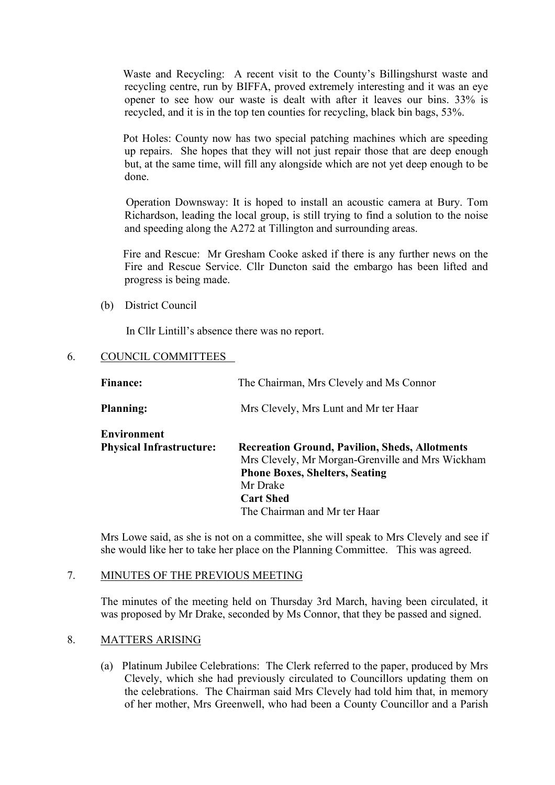Waste and Recycling: A recent visit to the County's Billingshurst waste and recycling centre, run by BIFFA, proved extremely interesting and it was an eye opener to see how our waste is dealt with after it leaves our bins. 33% is recycled, and it is in the top ten counties for recycling, black bin bags, 53%.

 Pot Holes: County now has two special patching machines which are speeding up repairs. She hopes that they will not just repair those that are deep enough but, at the same time, will fill any alongside which are not yet deep enough to be done.

 Operation Downsway: It is hoped to install an acoustic camera at Bury. Tom Richardson, leading the local group, is still trying to find a solution to the noise and speeding along the A272 at Tillington and surrounding areas.

 Fire and Rescue: Mr Gresham Cooke asked if there is any further news on the Fire and Rescue Service. Cllr Duncton said the embargo has been lifted and progress is being made.

(b) District Council

In Cllr Lintill's absence there was no report.

## 6. COUNCIL COMMITTEES

| <b>Finance:</b>                                       | The Chairman, Mrs Clevely and Ms Connor                                                                                                                                                                            |
|-------------------------------------------------------|--------------------------------------------------------------------------------------------------------------------------------------------------------------------------------------------------------------------|
| <b>Planning:</b>                                      | Mrs Clevely, Mrs Lunt and Mr ter Haar                                                                                                                                                                              |
| <b>Environment</b><br><b>Physical Infrastructure:</b> | <b>Recreation Ground, Pavilion, Sheds, Allotments</b><br>Mrs Clevely, Mr Morgan-Grenville and Mrs Wickham<br><b>Phone Boxes, Shelters, Seating</b><br>Mr Drake<br><b>Cart Shed</b><br>The Chairman and Mr ter Haar |

 Mrs Lowe said, as she is not on a committee, she will speak to Mrs Clevely and see if she would like her to take her place on the Planning Committee. This was agreed.

## 7. MINUTES OF THE PREVIOUS MEETING

 The minutes of the meeting held on Thursday 3rd March, having been circulated, it was proposed by Mr Drake, seconded by Ms Connor, that they be passed and signed.

# 8. MATTERS ARISING

 (a) Platinum Jubilee Celebrations: The Clerk referred to the paper, produced by Mrs Clevely, which she had previously circulated to Councillors updating them on the celebrations. The Chairman said Mrs Clevely had told him that, in memory of her mother, Mrs Greenwell, who had been a County Councillor and a Parish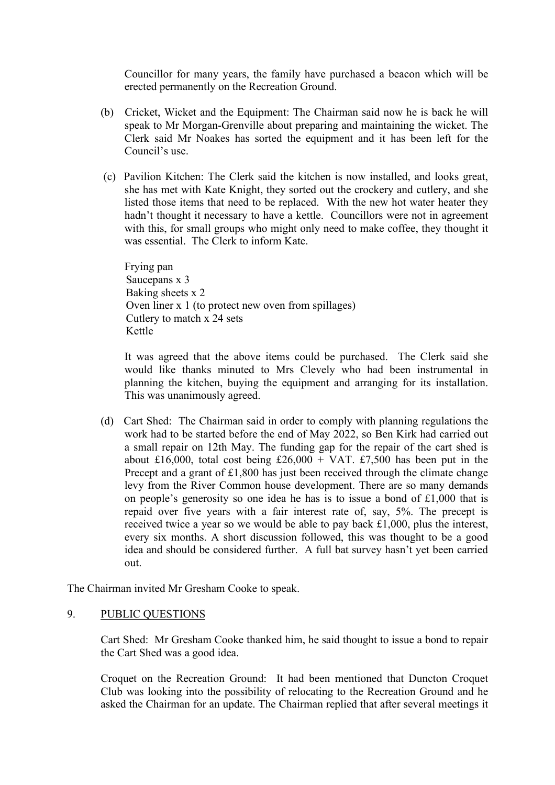Councillor for many years, the family have purchased a beacon which will be erected permanently on the Recreation Ground.

- (b) Cricket, Wicket and the Equipment: The Chairman said now he is back he will speak to Mr Morgan-Grenville about preparing and maintaining the wicket. The Clerk said Mr Noakes has sorted the equipment and it has been left for the Council's use.
- (c) Pavilion Kitchen: The Clerk said the kitchen is now installed, and looks great, she has met with Kate Knight, they sorted out the crockery and cutlery, and she listed those items that need to be replaced. With the new hot water heater they hadn't thought it necessary to have a kettle. Councillors were not in agreement with this, for small groups who might only need to make coffee, they thought it was essential. The Clerk to inform Kate.

 Frying pan Saucepans x 3 Baking sheets x 2 Oven liner x 1 (to protect new oven from spillages) Cutlery to match x 24 sets Kettle

 It was agreed that the above items could be purchased. The Clerk said she would like thanks minuted to Mrs Clevely who had been instrumental in planning the kitchen, buying the equipment and arranging for its installation. This was unanimously agreed.

 (d) Cart Shed: The Chairman said in order to comply with planning regulations the work had to be started before the end of May 2022, so Ben Kirk had carried out a small repair on 12th May. The funding gap for the repair of the cart shed is about £16,000, total cost being £26,000 + VAT. £7,500 has been put in the Precept and a grant of £1,800 has just been received through the climate change levy from the River Common house development. There are so many demands on people's generosity so one idea he has is to issue a bond of £1,000 that is repaid over five years with a fair interest rate of, say, 5%. The precept is received twice a year so we would be able to pay back £1,000, plus the interest, every six months. A short discussion followed, this was thought to be a good idea and should be considered further. A full bat survey hasn't yet been carried out.

The Chairman invited Mr Gresham Cooke to speak.

# 9. PUBLIC QUESTIONS

 Cart Shed: Mr Gresham Cooke thanked him, he said thought to issue a bond to repair the Cart Shed was a good idea.

 Croquet on the Recreation Ground: It had been mentioned that Duncton Croquet Club was looking into the possibility of relocating to the Recreation Ground and he asked the Chairman for an update. The Chairman replied that after several meetings it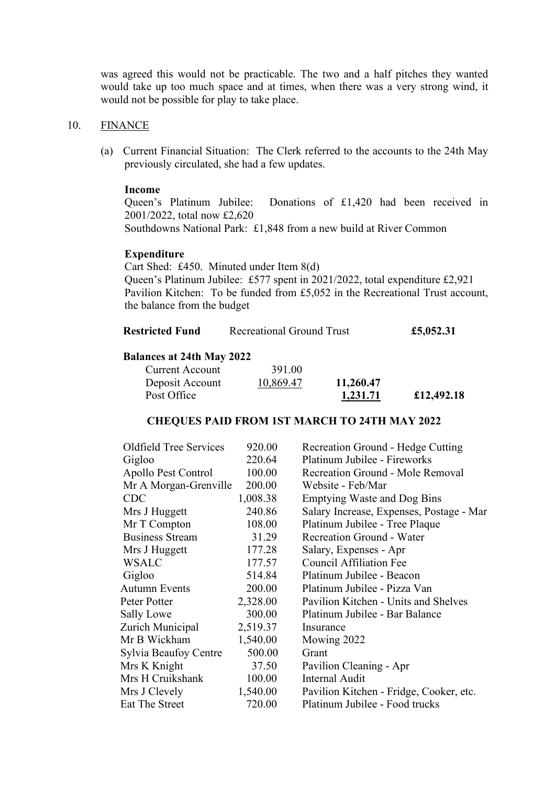was agreed this would not be practicable. The two and a half pitches they wanted would take up too much space and at times, when there was a very strong wind, it would not be possible for play to take place.

#### 10. FINANCE

(a) Current Financial Situation:The Clerk referred to the accounts to the 24th May previously circulated, she had a few updates.

## **Income**

 Queen's Platinum Jubilee: Donations of £1,420 had been received in 2001/2022, total now £2,620 Southdowns National Park: £1,848 from a new build at River Common

#### **Expenditure**

 Cart Shed: £450. Minuted under Item 8(d) Queen's Platinum Jubilee: £577 spent in 2021/2022, total expenditure £2,921 Pavilion Kitchen: To be funded from £5,052 in the Recreational Trust account, the balance from the budget

| <b>Restricted Fund</b> | Recreational Ground Trust | £5,052.31 |
|------------------------|---------------------------|-----------|
|------------------------|---------------------------|-----------|

## **Balances at 24th May 2022**

| Current Account | 391.00    |           |            |
|-----------------|-----------|-----------|------------|
| Deposit Account | 10,869.47 | 11,260.47 |            |
| Post Office     |           | 1,231.71  | £12,492.18 |

#### **CHEQUES PAID FROM 1ST MARCH TO 24TH MAY 2022**

| Oldfield Tree Services | 920.00   | Recreation Ground - Hedge Cutting        |
|------------------------|----------|------------------------------------------|
| Gigloo                 | 220.64   | Platinum Jubilee - Fireworks             |
| Apollo Pest Control    | 100.00   | Recreation Ground - Mole Removal         |
| Mr A Morgan-Grenville  | 200.00   | Website - Feb/Mar                        |
| <b>CDC</b>             | 1,008.38 | <b>Emptying Waste and Dog Bins</b>       |
| Mrs J Huggett          | 240.86   | Salary Increase, Expenses, Postage - Mar |
| Mr T Compton           | 108.00   | Platinum Jubilee - Tree Plaque           |
| <b>Business Stream</b> | 31.29    | <b>Recreation Ground - Water</b>         |
| Mrs J Huggett          | 177.28   | Salary, Expenses - Apr                   |
| <b>WSALC</b>           | 177.57   | <b>Council Affiliation Fee</b>           |
| Gigloo                 | 514.84   | Platinum Jubilee - Beacon                |
| <b>Autumn Events</b>   | 200.00   | Platinum Jubilee - Pizza Van             |
| Peter Potter           | 2,328.00 | Pavilion Kitchen - Units and Shelves     |
| Sally Lowe             | 300.00   | Platinum Jubilee - Bar Balance           |
| Zurich Municipal       | 2,519.37 | Insurance                                |
| Mr B Wickham           | 1,540.00 | Mowing 2022                              |
| Sylvia Beaufoy Centre  | 500.00   | Grant                                    |
| Mrs K Knight           | 37.50    | Pavilion Cleaning - Apr                  |
| Mrs H Cruikshank       | 100.00   | <b>Internal Audit</b>                    |
| Mrs J Clevely          | 1,540.00 | Pavilion Kitchen - Fridge, Cooker, etc.  |
| Eat The Street         | 720.00   | Platinum Jubilee - Food trucks           |